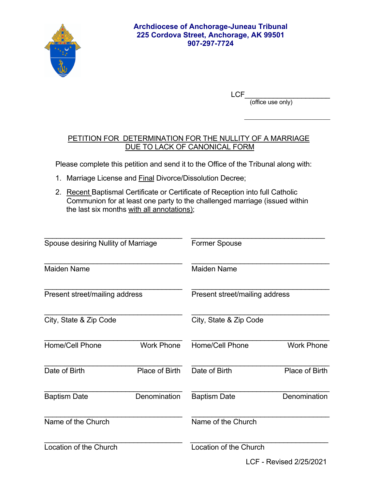

LCF\_\_\_\_\_\_\_\_\_\_\_\_\_\_\_\_\_\_\_\_\_\_\_\_\_\_\_\_\_

(office use only)

## PETITION FOR DETERMINATION FOR THE NULLITY OF A MARRIAGE DUE TO LACK OF CANONICAL FORM

 $\mathcal{L}_\text{max}$  , and the contract of the contract of the contract of the contract of the contract of the contract of the contract of the contract of the contract of the contract of the contract of the contract of the contr

Please complete this petition and send it to the Office of the Tribunal along with:

- 1. Marriage License and Final Divorce/Dissolution Decree;
- 2. Recent Baptismal Certificate or Certificate of Reception into full Catholic Communion for at least one party to the challenged marriage (issued within the last six months with all annotations);

| Spouse desiring Nullity of Marriage |                   | <b>Former Spouse</b>           |                   |
|-------------------------------------|-------------------|--------------------------------|-------------------|
| Maiden Name                         |                   | Maiden Name                    |                   |
| Present street/mailing address      |                   | Present street/mailing address |                   |
| City, State & Zip Code              |                   | City, State & Zip Code         |                   |
| <b>Home/Cell Phone</b>              | <b>Work Phone</b> | <b>Home/Cell Phone</b>         | <b>Work Phone</b> |
| Date of Birth                       | Place of Birth    | Date of Birth                  | Place of Birth    |
| <b>Baptism Date</b>                 | Denomination      | <b>Baptism Date</b>            | Denomination      |
| Name of the Church                  |                   | Name of the Church             |                   |
| Location of the Church              |                   | Location of the Church         |                   |